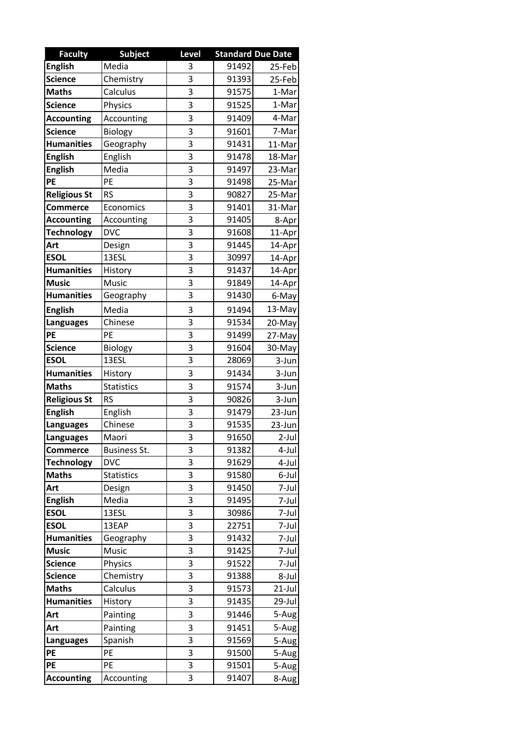| <b>Faculty</b>      | <b>Subject</b>    | Level |       | <b>Standard Due Date</b> |
|---------------------|-------------------|-------|-------|--------------------------|
| <b>English</b>      | Media             | 3     | 91492 | 25-Feb                   |
| <b>Science</b>      | Chemistry         | 3     | 91393 | 25-Feb                   |
| <b>Maths</b>        | Calculus          | 3     | 91575 | 1-Mar                    |
| <b>Science</b>      | <b>Physics</b>    | 3     | 91525 | 1-Mar                    |
| <b>Accounting</b>   | Accounting        | 3     | 91409 | 4-Mar                    |
| <b>Science</b>      | Biology           | 3     | 91601 | 7-Mar                    |
| <b>Humanities</b>   | Geography         | 3     | 91431 | 11-Mar                   |
| <b>English</b>      | English           | 3     | 91478 | 18-Mar                   |
| <b>English</b>      | Media             | 3     | 91497 | 23-Mar                   |
| PE                  | PE                | 3     | 91498 | 25-Mar                   |
| <b>Religious St</b> | <b>RS</b>         | 3     | 90827 | 25-Mar                   |
| <b>Commerce</b>     | Economics         | 3     | 91401 | 31-Mar                   |
| <b>Accounting</b>   | Accounting        | 3     | 91405 | 8-Apr                    |
| <b>Technology</b>   | <b>DVC</b>        | 3     | 91608 | 11-Apr                   |
| Art                 | Design            | 3     | 91445 | 14-Apr                   |
| <b>ESOL</b>         | 13ESL             | 3     | 30997 | 14-Apr                   |
| <b>Humanities</b>   | History           | 3     | 91437 | 14-Apr                   |
| <b>Music</b>        | Music             | 3     | 91849 | 14-Apr                   |
| <b>Humanities</b>   | Geography         | 3     | 91430 | 6-May                    |
| <b>English</b>      | Media             | 3     | 91494 | 13-May                   |
| <b>Languages</b>    | Chinese           | 3     | 91534 | 20-May                   |
| PE                  | PE                | 3     | 91499 | 27-May                   |
| <b>Science</b>      | Biology           | 3     | 91604 | 30-May                   |
| <b>ESOL</b>         | 13ESL             | 3     | 28069 | 3-Jun                    |
| <b>Humanities</b>   | History           | 3     | 91434 | 3-Jun                    |
| <b>Maths</b>        | <b>Statistics</b> | 3     | 91574 | 3-Jun                    |
| <b>Religious St</b> | <b>RS</b>         | 3     | 90826 | 3-Jun                    |
| <b>English</b>      | English           | 3     | 91479 | 23-Jun                   |
| <b>Languages</b>    | Chinese           | 3     | 91535 | 23-Jun                   |
| <b>Languages</b>    | Maori             | 3     | 91650 | $2$ -Jul                 |
| <b>Commerce</b>     | Business St.      | 3     | 91382 | 4-Jul                    |
| <b>Technology</b>   | <b>DVC</b>        | 3     | 91629 | 4-Jul                    |
| <b>Maths</b>        | <b>Statistics</b> | 3     | 91580 | 6-Jul                    |
| Art                 | Design            | 3     | 91450 | 7-Jul                    |
| <b>English</b>      | Media             | 3     | 91495 | 7-Jul                    |
| <b>ESOL</b>         | 13ESL             | 3     | 30986 | 7-Jul                    |
| <b>ESOL</b>         | 13EAP             | 3     | 22751 | 7-Jul                    |
| <b>Humanities</b>   | Geography         | 3     | 91432 | 7-Jul                    |
| <b>Music</b>        | Music             | 3     | 91425 | 7-Jul                    |
| <b>Science</b>      | Physics           | 3     | 91522 | 7-Jul                    |
| <b>Science</b>      | Chemistry         | 3     | 91388 | 8-Jul                    |
| <b>Maths</b>        | Calculus          | 3     | 91573 | $21$ -Jul                |
| <b>Humanities</b>   | History           | 3     | 91435 | 29-Jul                   |
| Art                 | Painting          | 3     | 91446 | 5-Aug                    |
| Art                 | Painting          | 3     | 91451 | 5-Aug                    |
| Languages           | Spanish           | 3     | 91569 | 5-Aug                    |
| PE                  | PE                | 3     | 91500 | 5-Aug                    |
| PE                  | PE                | 3     | 91501 | 5-Aug                    |
| <b>Accounting</b>   | Accounting        | 3     | 91407 | 8-Aug                    |